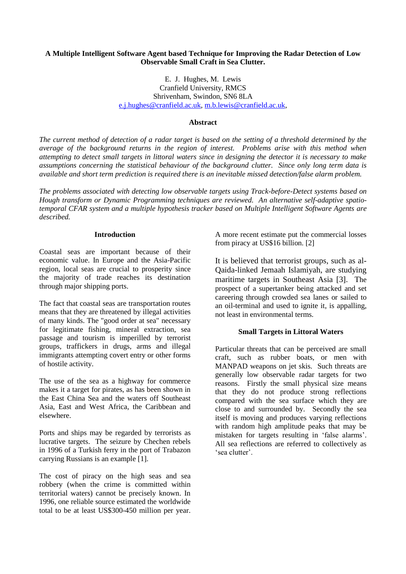## **A Multiple Intelligent Software Agent based Technique for Improving the Radar Detection of Low Observable Small Craft in Sea Clutter.**

E. J. Hughes, M. Lewis Cranfield University, RMCS Shrivenham, Swindon, SN6 8LA [e.j.hughes@cranfield.ac.uk,](mailto:e.j.hughes@cranfield.ac.uk) [m.b.lewis@cranfield.ac.uk,](mailto:m.b.lewis@cranfield.ac.uk)

### **Abstract**

*The current method of detection of a radar target is based on the setting of a threshold determined by the average of the background returns in the region of interest. Problems arise with this method when attempting to detect small targets in littoral waters since in designing the detector it is necessary to make assumptions concerning the statistical behaviour of the background clutter. Since only long term data is available and short term prediction is required there is an inevitable missed detection/false alarm problem.*

*The problems associated with detecting low observable targets using Track-before-Detect systems based on Hough transform or Dynamic Programming techniques are reviewed. An alternative self-adaptive spatiotemporal CFAR system and a multiple hypothesis tracker based on Multiple Intelligent Software Agents are described.* 

#### **Introduction**

Coastal seas are important because of their economic value. In Europe and the Asia-Pacific region, local seas are crucial to prosperity since the majority of trade reaches its destination through major shipping ports.

The fact that coastal seas are transportation routes means that they are threatened by illegal activities of many kinds. The "good order at sea" necessary for legitimate fishing, mineral extraction, sea passage and tourism is imperilled by terrorist groups, traffickers in drugs, arms and illegal immigrants attempting covert entry or other forms of hostile activity.

The use of the sea as a highway for commerce makes it a target for pirates, as has been shown in the East China Sea and the waters off Southeast Asia, East and West Africa, the Caribbean and elsewhere.

Ports and ships may be regarded by terrorists as lucrative targets. The seizure by Chechen rebels in 1996 of a Turkish ferry in the port of Trabazon carrying Russians is an example [\[1\]](#page-6-0).

The cost of piracy on the high seas and sea robbery (when the crime is committed within territorial waters) cannot be precisely known. In 1996, one reliable source estimated the worldwide total to be at least US\$300-450 million per year. A more recent estimate put the commercial losses from piracy at US\$16 billion. [\[2\]](#page-6-1)

It is believed that terrorist groups, such as al-Qaida-linked Jemaah Islamiyah, are studying maritime targets in Southeast Asia [\[3\]](#page-6-2). The prospect of a supertanker being attacked and set careering through crowded sea lanes or sailed to an oil-terminal and used to ignite it, is appalling, not least in environmental terms.

## **Small Targets in Littoral Waters**

Particular threats that can be perceived are small craft, such as rubber boats, or men with MANPAD weapons on jet skis. Such threats are generally low observable radar targets for two reasons. Firstly the small physical size means that they do not produce strong reflections compared with the sea surface which they are close to and surrounded by. Secondly the sea itself is moving and produces varying reflections with random high amplitude peaks that may be mistaken for targets resulting in 'false alarms'. All sea reflections are referred to collectively as 'sea clutter'.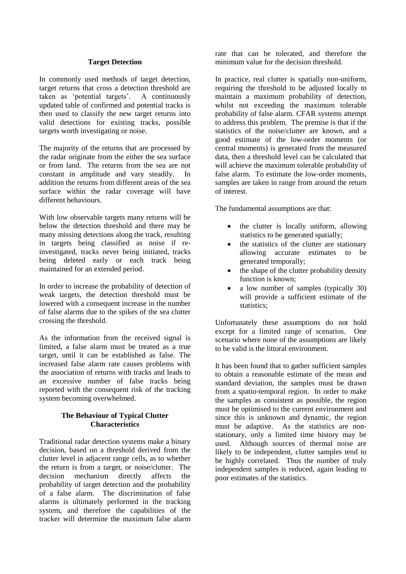## **Target Detection**

In commonly used methods of target detection, target returns that cross a detection threshold are taken as 'potential targets'. A continuously updated table of confirmed and potential tracks is then used to classify the new target returns into valid detections for existing tracks, possible targets worth investigating or noise.

The majority of the returns that are processed by the radar originate from the either the sea surface or from land. The returns from the sea are not constant in amplitude and vary steadily. In addition the returns from different areas of the sea surface within the radar coverage will have different behaviours.

With low observable targets many returns will be below the detection threshold and there may be many missing detections along the track, resulting in targets being classified as noise if reinvestigated, tracks never being initiated, tracks being deleted early or each track being maintained for an extended period.

In order to increase the probability of detection of weak targets, the detection threshold must be lowered with a consequent increase in the number of false alarms due to the spikes of the sea clutter crossing the threshold.

As the information from the received signal is limited, a false alarm must be treated as a true target, until it can be established as false. The increased false alarm rate causes problems with the association of returns with tracks and leads to an excessive number of false tracks being reported with the consequent risk of the tracking system becoming overwhelmed.

## **The Behaviour of Typical Clutter Characteristics**

Traditional radar detection systems make a binary decision, based on a threshold derived from the clutter level in adjacent range cells, as to whether the return is from a target, or noise/clutter. The decision mechanism directly affects the probability of target detection and the probability of a false alarm. The discrimination of false alarms is ultimately performed in the tracking system, and therefore the capabilities of the tracker will determine the maximum false alarm

rate that can be tolerated, and therefore the minimum value for the decision threshold.

In practice, real clutter is spatially non-uniform, requiring the threshold to be adjusted locally to maintain a maximum probability of detection, whilst not exceeding the maximum tolerable probability of false alarm. CFAR systems attempt to address this problem. The premise is that if the statistics of the noise/clutter are known, and a good estimate of the low-order moments (or central moments) is generated from the measured data, then a threshold level can be calculated that will achieve the maximum tolerable probability of false alarm. To estimate the low-order moments, samples are taken in range from around the return of interest.

The fundamental assumptions are that:

- the clutter is locally uniform, allowing statistics to be generated spatially;
- the statistics of the clutter are stationary allowing accurate estimates to be generated temporally;
- the shape of the clutter probability density function is known;
- a low number of samples (typically 30) will provide a sufficient estimate of the statistics;

Unfortunately these assumptions do not hold except for a limited range of scenarios. One scenario where none of the assumptions are likely to be valid is the littoral environment.

It has been found that to gather sufficient samples to obtain a reasonable estimate of the mean and standard deviation, the samples must be drawn from a spatio-temporal region. In order to make the samples as consistent as possible, the region must be optimised to the current environment and since this is unknown and dynamic, the region must be adaptive. As the statistics are nonstationary, only a limited time history may be used. Although sources of thermal noise are likely to be independent, clutter samples tend to be highly correlated. Thus the number of truly independent samples is reduced, again leading to poor estimates of the statistics.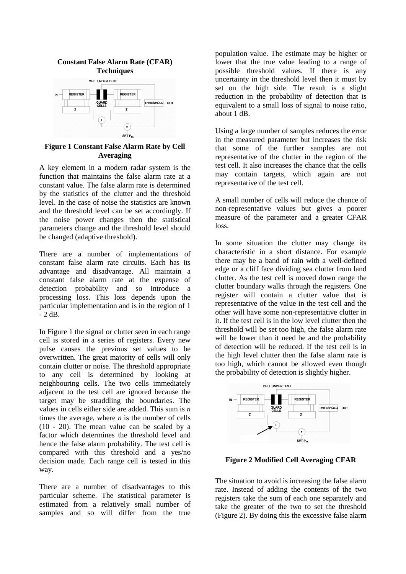

## **Figure 1 Constant False Alarm Rate by Cell Averaging**

A key element in a modern radar system is the function that maintains the false alarm rate at a constant value. The false alarm rate is determined by the statistics of the clutter and the threshold level. In the case of noise the statistics are known and the threshold level can be set accordingly. If the noise power changes then the statistical parameters change and the threshold level should be changed (adaptive threshold).

There are a number of implementations of constant false alarm rate circuits. Each has its advantage and disadvantage. All maintain a constant false alarm rate at the expense of detection probability and so introduce a processing loss. This loss depends upon the particular implementation and is in the region of 1 - 2 dB.

In Figure 1 the signal or clutter seen in each range cell is stored in a series of registers. Every new pulse causes the previous set values to be overwritten. The great majority of cells will only contain clutter or noise. The threshold appropriate to any cell is determined by looking at neighbouring cells. The two cells immediately adjacent to the test cell are ignored because the target may be straddling the boundaries. The values in cells either side are added. This sum is *n* times the average, where *n* is the number of cells (10 - 20). The mean value can be scaled by a factor which determines the threshold level and hence the false alarm probability. The test cell is compared with this threshold and a yes/no decision made. Each range cell is tested in this way.

There are a number of disadvantages to this particular scheme. The statistical parameter is estimated from a relatively small number of samples and so will differ from the true

population value. The estimate may be higher or lower that the true value leading to a range of possible threshold values. If there is any uncertainty in the threshold level then it must by set on the high side. The result is a slight reduction in the probability of detection that is equivalent to a small loss of signal to noise ratio, about 1 dB.

Using a large number of samples reduces the error in the measured parameter but increases the risk that some of the further samples are not representative of the clutter in the region of the test cell. It also increases the chance that the cells may contain targets, which again are not representative of the test cell.

A small number of cells will reduce the chance of non-representative values but gives a poorer measure of the parameter and a greater CFAR loss.

In some situation the clutter may change its characteristic in a short distance. For example there may be a band of rain with a well-defined edge or a cliff face dividing sea clutter from land clutter. As the test cell is moved down range the clutter boundary walks through the registers. One register will contain a clutter value that is representative of the value in the test cell and the other will have some non-representative clutter in it. If the test cell is in the low level clutter then the threshold will be set too high, the false alarm rate will be lower than it need be and the probability of detection will be reduced. If the test cell is in the high level clutter then the false alarm rate is too high, which cannot be allowed even though the probability of detection is slightly higher.



**Figure 2 Modified Cell Averaging CFAR ates**

The situation to avoid is increasing the false alarm rate. Instead of adding the contents of the two registers take the sum of each one separately and take the greater of the two to set the threshold (Figure 2). By doing this the excessive false alarm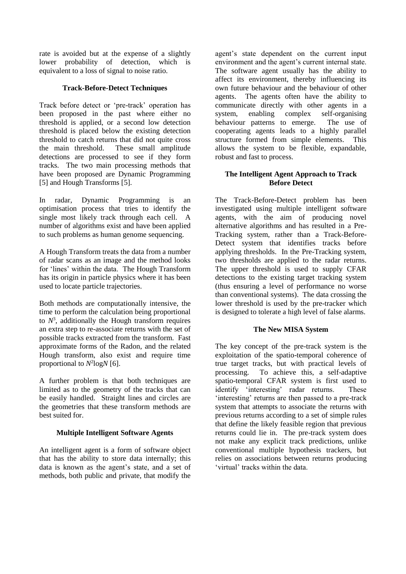rate is avoided but at the expense of a slightly lower probability of detection, which is equivalent to a loss of signal to noise ratio.

## **Track-Before-Detect Techniques**

Track before detect or 'pre-track' operation has been proposed in the past where either no threshold is applied, or a second low detection threshold is placed below the existing detection threshold to catch returns that did not quite cross the main threshold. These small amplitude detections are processed to see if they form tracks. The two main processing methods that have been proposed are Dynamic Programming [\[5\]](#page-6-3) and Hough Transforms [\[5\]](#page-6-3).

In radar, Dynamic Programming is an optimisation process that tries to identify the single most likely track through each cell. A number of algorithms exist and have been applied to such problems as human genome sequencing.

A Hough Transform treats the data from a number of radar scans as an image and the method looks for 'lines' within the data. The Hough Transform has its origin in particle physics where it has been used to locate particle trajectories.

Both methods are computationally intensive, the time to perform the calculation being proportional to  $N^3$ , additionally the Hough transform requires an extra step to re-associate returns with the set of possible tracks extracted from the transform. Fast approximate forms of the Radon, and the related Hough transform, also exist and require time proportional to  $N^2 \log N$  [\[6\]](#page-6-4).

A further problem is that both techniques are limited as to the geometry of the tracks that can be easily handled. Straight lines and circles are the geometries that these transform methods are best suited for.

# **Multiple Intelligent Software Agents**

An intelligent agent is a form of software object that has the ability to store data internally; this data is known as the agent's state, and a set of methods, both public and private, that modify the

agent's state dependent on the current input environment and the agent's current internal state. The software agent usually has the ability to affect its environment, thereby influencing its own future behaviour and the behaviour of other agents. The agents often have the ability to communicate directly with other agents in a system, enabling complex self-organising behaviour patterns to emerge. The use of cooperating agents leads to a highly parallel structure formed from simple elements. This allows the system to be flexible, expandable, robust and fast to process.

## **The Intelligent Agent Approach to Track Before Detect**

The Track-Before-Detect problem has been investigated using multiple intelligent software agents, with the aim of producing novel alternative algorithms and has resulted in a Pre-Tracking system, rather than a Track-Before-Detect system that identifies tracks before applying thresholds. In the Pre-Tracking system, two thresholds are applied to the radar returns. The upper threshold is used to supply CFAR detections to the existing target tracking system (thus ensuring a level of performance no worse than conventional systems). The data crossing the lower threshold is used by the pre-tracker which is designed to tolerate a high level of false alarms.

## **The New MISA System**

The key concept of the pre-track system is the exploitation of the spatio-temporal coherence of true target tracks, but with practical levels of processing. To achieve this, a self-adaptive spatio-temporal CFAR system is first used to identify 'interesting' radar returns. These 'interesting' returns are then passed to a pre-track system that attempts to associate the returns with previous returns according to a set of simple rules that define the likely feasible region that previous returns could lie in. The pre-track system does not make any explicit track predictions, unlike conventional multiple hypothesis trackers, but relies on associations between returns producing 'virtual' tracks within the data.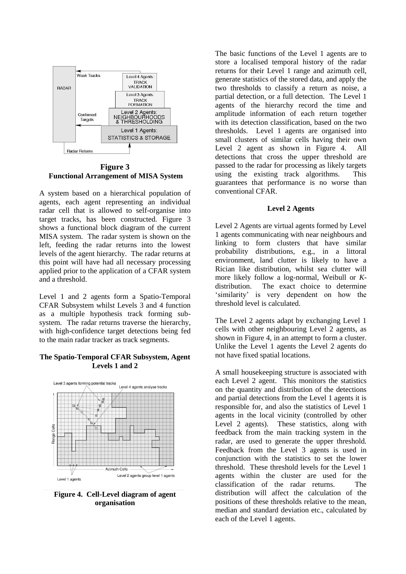

**Figure 3 Functional Arrangement of MISA System**

A system based on a hierarchical population of agents, each agent representing an individual radar cell that is allowed to self-organise into target tracks, has been constructed. Figure 3 shows a functional block diagram of the current MISA system. The radar system is shown on the left, feeding the radar returns into the lowest levels of the agent hierarchy. The radar returns at this point will have had all necessary processing applied prior to the application of a CFAR system and a threshold.

Level 1 and 2 agents form a Spatio-Temporal CFAR Subsystem whilst Levels 3 and 4 function as a multiple hypothesis track forming subsystem. The radar returns traverse the hierarchy, with high-confidence target detections being fed to the main radar tracker as track segments.

#### **The Spatio-Temporal CFAR Subsystem, Agent Levels 1 and 2**



**Figure 4. Cell-Level diagram of agent organisation** 

The basic functions of the Level 1 agents are to store a localised temporal history of the radar returns for their Level 1 range and azimuth cell, generate statistics of the stored data, and apply the two thresholds to classify a return as noise, a partial detection, or a full detection. The Level 1 agents of the hierarchy record the time and amplitude information of each return together with its detection classification, based on the two thresholds. Level 1 agents are organised into small clusters of similar cells having their own Level 2 agent as shown in Figure 4. All detections that cross the upper threshold are passed to the radar for processing as likely targets using the existing track algorithms. This guarantees that performance is no worse than conventional CFAR.

#### **Level 2 Agents**

Level 2 Agents are virtual agents formed by Level 1 agents communicating with near neighbours and linking to form clusters that have similar probability distributions, e.g., in a littoral environment, land clutter is likely to have a Rician like distribution, whilst sea clutter will more likely follow a log-normal, Weibull or *K*distribution. The exact choice to determine 'similarity' is very dependent on how the threshold level is calculated.

The Level 2 agents adapt by exchanging Level 1 cells with other neighbouring Level 2 agents, as shown in Figure 4, in an attempt to form a cluster. Unlike the Level 1 agents the Level 2 agents do not have fixed spatial locations.

A small housekeeping structure is associated with each Level 2 agent. This monitors the statistics on the quantity and distribution of the detections and partial detections from the Level 1 agents it is responsible for, and also the statistics of Level 1 agents in the local vicinity (controlled by other Level 2 agents). These statistics, along with feedback from the main tracking system in the radar, are used to generate the upper threshold. Feedback from the Level 3 agents is used in conjunction with the statistics to set the lower threshold. These threshold levels for the Level 1 agents within the cluster are used for the classification of the radar returns. The distribution will affect the calculation of the positions of these thresholds relative to the mean, median and standard deviation etc., calculated by each of the Level 1 agents.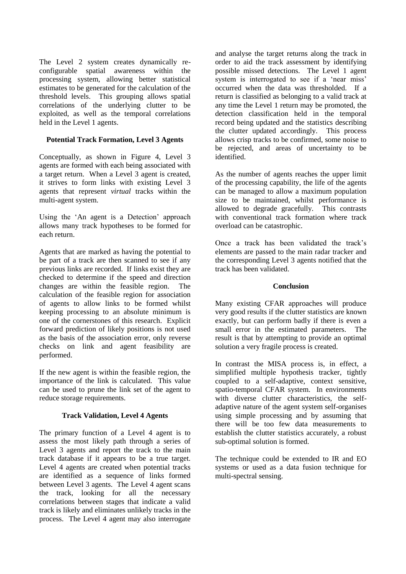The Level 2 system creates dynamically reconfigurable spatial awareness within the processing system, allowing better statistical estimates to be generated for the calculation of the threshold levels. This grouping allows spatial correlations of the underlying clutter to be exploited, as well as the temporal correlations held in the Level 1 agents.

## **Potential Track Formation, Level 3 Agents**

Conceptually, as shown in Figure 4, Level 3 agents are formed with each being associated with a target return. When a Level 3 agent is created, it strives to form links with existing Level 3 agents that represent *virtual* tracks within the multi-agent system.

Using the 'An agent is a Detection' approach allows many track hypotheses to be formed for each return.

Agents that are marked as having the potential to be part of a track are then scanned to see if any previous links are recorded. If links exist they are checked to determine if the speed and direction changes are within the feasible region. The calculation of the feasible region for association of agents to allow links to be formed whilst keeping processing to an absolute minimum is one of the cornerstones of this research. Explicit forward prediction of likely positions is not used as the basis of the association error, only reverse checks on link and agent feasibility are performed.

If the new agent is within the feasible region, the importance of the link is calculated. This value can be used to prune the link set of the agent to reduce storage requirements.

## **Track Validation, Level 4 Agents**

The primary function of a Level 4 agent is to assess the most likely path through a series of Level 3 agents and report the track to the main track database if it appears to be a true target. Level 4 agents are created when potential tracks are identified as a sequence of links formed between Level 3 agents. The Level 4 agent scans the track, looking for all the necessary correlations between stages that indicate a valid track is likely and eliminates unlikely tracks in the process. The Level 4 agent may also interrogate

and analyse the target returns along the track in order to aid the track assessment by identifying possible missed detections. The Level 1 agent system is interrogated to see if a 'near miss' occurred when the data was thresholded. If a return is classified as belonging to a valid track at any time the Level 1 return may be promoted, the detection classification held in the temporal record being updated and the statistics describing the clutter updated accordingly. This process allows crisp tracks to be confirmed, some noise to be rejected, and areas of uncertainty to be identified.

As the number of agents reaches the upper limit of the processing capability, the life of the agents can be managed to allow a maximum population size to be maintained, whilst performance is allowed to degrade gracefully. This contrasts with conventional track formation where track overload can be catastrophic.

Once a track has been validated the track's elements are passed to the main radar tracker and the corresponding Level 3 agents notified that the track has been validated.

## **Conclusion**

Many existing CFAR approaches will produce very good results if the clutter statistics are known exactly, but can perform badly if there is even a small error in the estimated parameters. The result is that by attempting to provide an optimal solution a very fragile process is created.

In contrast the MISA process is, in effect, a simplified multiple hypothesis tracker, tightly coupled to a self-adaptive, context sensitive, spatio-temporal CFAR system. In environments with diverse clutter characteristics, the selfadaptive nature of the agent system self-organises using simple processing and by assuming that there will be too few data measurements to establish the clutter statistics accurately, a robust sub-optimal solution is formed.

The technique could be extended to IR and EO systems or used as a data fusion technique for multi-spectral sensing.